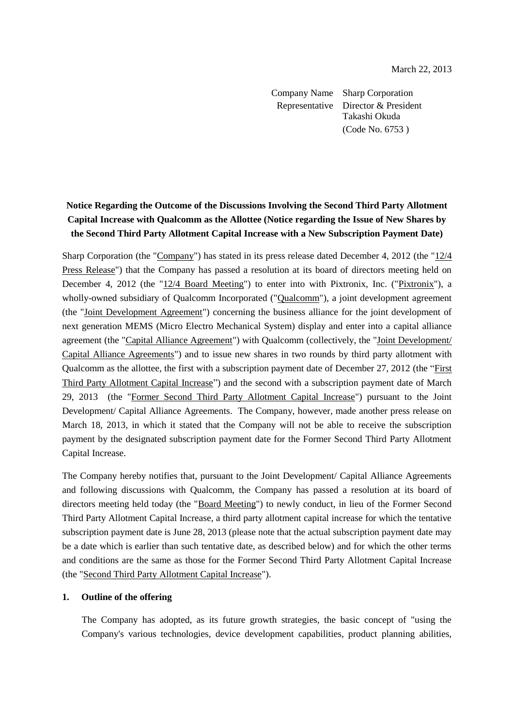Company Name Sharp Corporation Representative Director & President Takashi Okuda (Code No. 6753 )

# **Notice Regarding the Outcome of the Discussions Involving the Second Third Party Allotment Capital Increase with Qualcomm as the Allottee (Notice regarding the Issue of New Shares by the Second Third Party Allotment Capital Increase with a New Subscription Payment Date)**

Sharp Corporation (the "Company") has stated in its press release dated December 4, 2012 (the "12/4 Press Release") that the Company has passed a resolution at its board of directors meeting held on December 4, 2012 (the "12/4 Board Meeting") to enter into with Pixtronix, Inc. ("Pixtronix"), a wholly-owned subsidiary of Qualcomm Incorporated ("Qualcomm"), a joint development agreement (the "Joint Development Agreement") concerning the business alliance for the joint development of next generation MEMS (Micro Electro Mechanical System) display and enter into a capital alliance agreement (the "Capital Alliance Agreement") with Qualcomm (collectively, the "Joint Development/ Capital Alliance Agreements") and to issue new shares in two rounds by third party allotment with Qualcomm as the allottee, the first with a subscription payment date of December 27, 2012 (the "First Third Party Allotment Capital Increase") and the second with a subscription payment date of March 29, 2013 (the "Former Second Third Party Allotment Capital Increase") pursuant to the Joint Development/ Capital Alliance Agreements. The Company, however, made another press release on March 18, 2013, in which it stated that the Company will not be able to receive the subscription payment by the designated subscription payment date for the Former Second Third Party Allotment Capital Increase.

The Company hereby notifies that, pursuant to the Joint Development/ Capital Alliance Agreements and following discussions with Qualcomm, the Company has passed a resolution at its board of directors meeting held today (the "Board Meeting") to newly conduct, in lieu of the Former Second Third Party Allotment Capital Increase, a third party allotment capital increase for which the tentative subscription payment date is June 28, 2013 (please note that the actual subscription payment date may be a date which is earlier than such tentative date, as described below) and for which the other terms and conditions are the same as those for the Former Second Third Party Allotment Capital Increase (the "Second Third Party Allotment Capital Increase").

#### **1. Outline of the offering**

The Company has adopted, as its future growth strategies, the basic concept of "using the Company's various technologies, device development capabilities, product planning abilities,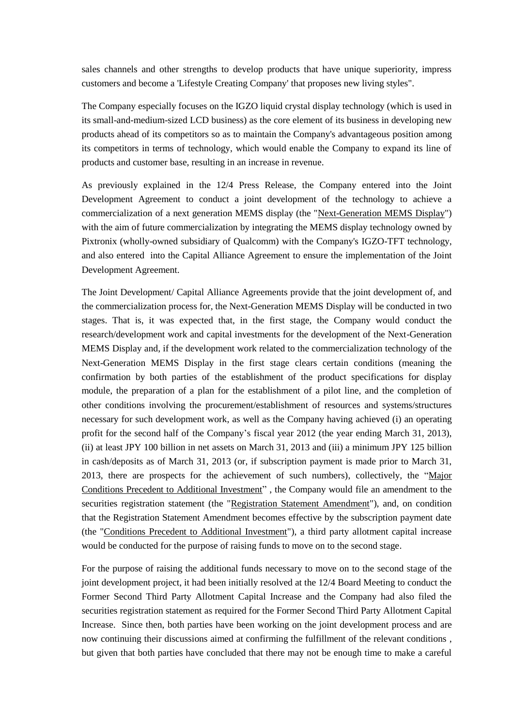sales channels and other strengths to develop products that have unique superiority, impress customers and become a 'Lifestyle Creating Company' that proposes new living styles".

The Company especially focuses on the IGZO liquid crystal display technology (which is used in its small-and-medium-sized LCD business) as the core element of its business in developing new products ahead of its competitors so as to maintain the Company's advantageous position among its competitors in terms of technology, which would enable the Company to expand its line of products and customer base, resulting in an increase in revenue.

As previously explained in the 12/4 Press Release, the Company entered into the Joint Development Agreement to conduct a joint development of the technology to achieve a commercialization of a next generation MEMS display (the "Next-Generation MEMS Display") with the aim of future commercialization by integrating the MEMS display technology owned by Pixtronix (wholly-owned subsidiary of Qualcomm) with the Company's IGZO-TFT technology, and also entered into the Capital Alliance Agreement to ensure the implementation of the Joint Development Agreement.

The Joint Development/ Capital Alliance Agreements provide that the joint development of, and the commercialization process for, the Next-Generation MEMS Display will be conducted in two stages. That is, it was expected that, in the first stage, the Company would conduct the research/development work and capital investments for the development of the Next-Generation MEMS Display and, if the development work related to the commercialization technology of the Next-Generation MEMS Display in the first stage clears certain conditions (meaning the confirmation by both parties of the establishment of the product specifications for display module, the preparation of a plan for the establishment of a pilot line, and the completion of other conditions involving the procurement/establishment of resources and systems/structures necessary for such development work, as well as the Company having achieved (i) an operating profit for the second half of the Company's fiscal year 2012 (the year ending March 31, 2013), (ii) at least JPY 100 billion in net assets on March 31, 2013 and (iii) a minimum JPY 125 billion in cash/deposits as of March 31, 2013 (or, if subscription payment is made prior to March 31, 2013, there are prospects for the achievement of such numbers), collectively, the "Major Conditions Precedent to Additional Investment" , the Company would file an amendment to the securities registration statement (the "Registration Statement Amendment"), and, on condition that the Registration Statement Amendment becomes effective by the subscription payment date (the "Conditions Precedent to Additional Investment"), a third party allotment capital increase would be conducted for the purpose of raising funds to move on to the second stage.

For the purpose of raising the additional funds necessary to move on to the second stage of the joint development project, it had been initially resolved at the 12/4 Board Meeting to conduct the Former Second Third Party Allotment Capital Increase and the Company had also filed the securities registration statement as required for the Former Second Third Party Allotment Capital Increase. Since then, both parties have been working on the joint development process and are now continuing their discussions aimed at confirming the fulfillment of the relevant conditions , but given that both parties have concluded that there may not be enough time to make a careful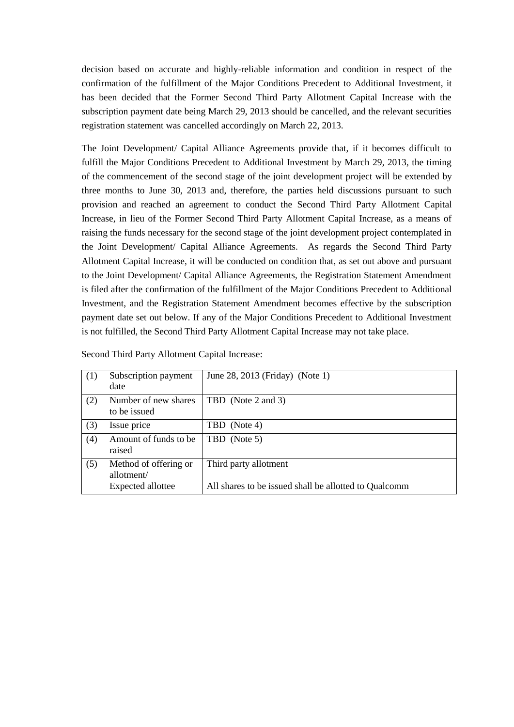decision based on accurate and highly-reliable information and condition in respect of the confirmation of the fulfillment of the Major Conditions Precedent to Additional Investment, it has been decided that the Former Second Third Party Allotment Capital Increase with the subscription payment date being March 29, 2013 should be cancelled, and the relevant securities registration statement was cancelled accordingly on March 22, 2013.

The Joint Development/ Capital Alliance Agreements provide that, if it becomes difficult to fulfill the Major Conditions Precedent to Additional Investment by March 29, 2013, the timing of the commencement of the second stage of the joint development project will be extended by three months to June 30, 2013 and, therefore, the parties held discussions pursuant to such provision and reached an agreement to conduct the Second Third Party Allotment Capital Increase, in lieu of the Former Second Third Party Allotment Capital Increase, as a means of raising the funds necessary for the second stage of the joint development project contemplated in the Joint Development/ Capital Alliance Agreements. As regards the Second Third Party Allotment Capital Increase, it will be conducted on condition that, as set out above and pursuant to the Joint Development/ Capital Alliance Agreements, the Registration Statement Amendment is filed after the confirmation of the fulfillment of the Major Conditions Precedent to Additional Investment, and the Registration Statement Amendment becomes effective by the subscription payment date set out below. If any of the Major Conditions Precedent to Additional Investment is not fulfilled, the Second Third Party Allotment Capital Increase may not take place.

| (1) | Subscription payment<br>date                             | June 28, 2013 (Friday) (Note 1)                                                |
|-----|----------------------------------------------------------|--------------------------------------------------------------------------------|
| (2) | Number of new shares<br>to be issued                     | TBD (Note 2 and 3)                                                             |
| (3) | Issue price                                              | TBD (Note 4)                                                                   |
| (4) | Amount of funds to be<br>raised                          | TBD (Note 5)                                                                   |
| (5) | Method of offering or<br>allotment/<br>Expected allottee | Third party allotment<br>All shares to be issued shall be allotted to Qualcomm |

Second Third Party Allotment Capital Increase: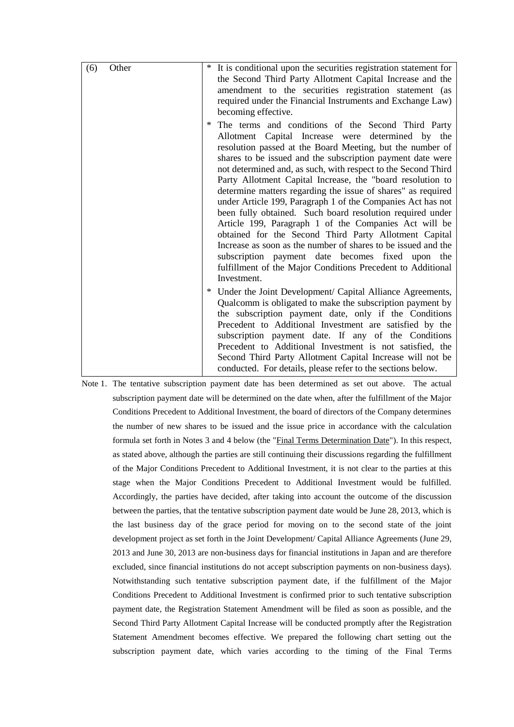| (6) | Other | * It is conditional upon the securities registration statement for |                                                                                                                                                                                                                                                                                                                                                                                                                                                                                                                                                                                                                                                                                                                                                                                                                                                                     |  |  |
|-----|-------|--------------------------------------------------------------------|---------------------------------------------------------------------------------------------------------------------------------------------------------------------------------------------------------------------------------------------------------------------------------------------------------------------------------------------------------------------------------------------------------------------------------------------------------------------------------------------------------------------------------------------------------------------------------------------------------------------------------------------------------------------------------------------------------------------------------------------------------------------------------------------------------------------------------------------------------------------|--|--|
|     |       |                                                                    | the Second Third Party Allotment Capital Increase and the                                                                                                                                                                                                                                                                                                                                                                                                                                                                                                                                                                                                                                                                                                                                                                                                           |  |  |
|     |       |                                                                    | amendment to the securities registration statement (as                                                                                                                                                                                                                                                                                                                                                                                                                                                                                                                                                                                                                                                                                                                                                                                                              |  |  |
|     |       |                                                                    | required under the Financial Instruments and Exchange Law)                                                                                                                                                                                                                                                                                                                                                                                                                                                                                                                                                                                                                                                                                                                                                                                                          |  |  |
|     |       |                                                                    | becoming effective.                                                                                                                                                                                                                                                                                                                                                                                                                                                                                                                                                                                                                                                                                                                                                                                                                                                 |  |  |
|     |       | ∗                                                                  | The terms and conditions of the Second Third Party<br>Allotment Capital Increase were determined by the<br>resolution passed at the Board Meeting, but the number of<br>shares to be issued and the subscription payment date were<br>not determined and, as such, with respect to the Second Third<br>Party Allotment Capital Increase, the "board resolution to<br>determine matters regarding the issue of shares" as required<br>under Article 199, Paragraph 1 of the Companies Act has not<br>been fully obtained. Such board resolution required under<br>Article 199, Paragraph 1 of the Companies Act will be<br>obtained for the Second Third Party Allotment Capital<br>Increase as soon as the number of shares to be issued and the<br>subscription payment date becomes fixed upon the<br>fulfillment of the Major Conditions Precedent to Additional |  |  |
|     |       |                                                                    | Investment.                                                                                                                                                                                                                                                                                                                                                                                                                                                                                                                                                                                                                                                                                                                                                                                                                                                         |  |  |
|     |       | ∗                                                                  | Under the Joint Development/ Capital Alliance Agreements,<br>Qualcomm is obligated to make the subscription payment by                                                                                                                                                                                                                                                                                                                                                                                                                                                                                                                                                                                                                                                                                                                                              |  |  |
|     |       |                                                                    | the subscription payment date, only if the Conditions                                                                                                                                                                                                                                                                                                                                                                                                                                                                                                                                                                                                                                                                                                                                                                                                               |  |  |
|     |       |                                                                    | Precedent to Additional Investment are satisfied by the                                                                                                                                                                                                                                                                                                                                                                                                                                                                                                                                                                                                                                                                                                                                                                                                             |  |  |
|     |       |                                                                    | subscription payment date. If any of the Conditions                                                                                                                                                                                                                                                                                                                                                                                                                                                                                                                                                                                                                                                                                                                                                                                                                 |  |  |
|     |       |                                                                    | Precedent to Additional Investment is not satisfied, the                                                                                                                                                                                                                                                                                                                                                                                                                                                                                                                                                                                                                                                                                                                                                                                                            |  |  |
|     |       |                                                                    | Second Third Party Allotment Capital Increase will not be                                                                                                                                                                                                                                                                                                                                                                                                                                                                                                                                                                                                                                                                                                                                                                                                           |  |  |
|     |       |                                                                    | conducted. For details, please refer to the sections below.                                                                                                                                                                                                                                                                                                                                                                                                                                                                                                                                                                                                                                                                                                                                                                                                         |  |  |

Note 1. The tentative subscription payment date has been determined as set out above. The actual subscription payment date will be determined on the date when, after the fulfillment of the Major Conditions Precedent to Additional Investment, the board of directors of the Company determines the number of new shares to be issued and the issue price in accordance with the calculation formula set forth in Notes 3 and 4 below (the "Final Terms Determination Date"). In this respect, as stated above, although the parties are still continuing their discussions regarding the fulfillment of the Major Conditions Precedent to Additional Investment, it is not clear to the parties at this stage when the Major Conditions Precedent to Additional Investment would be fulfilled. Accordingly, the parties have decided, after taking into account the outcome of the discussion between the parties, that the tentative subscription payment date would be June 28, 2013, which is the last business day of the grace period for moving on to the second state of the joint development project as set forth in the Joint Development/ Capital Alliance Agreements (June 29, 2013 and June 30, 2013 are non-business days for financial institutions in Japan and are therefore excluded, since financial institutions do not accept subscription payments on non-business days). Notwithstanding such tentative subscription payment date, if the fulfillment of the Major Conditions Precedent to Additional Investment is confirmed prior to such tentative subscription payment date, the Registration Statement Amendment will be filed as soon as possible, and the Second Third Party Allotment Capital Increase will be conducted promptly after the Registration Statement Amendment becomes effective. We prepared the following chart setting out the subscription payment date, which varies according to the timing of the Final Terms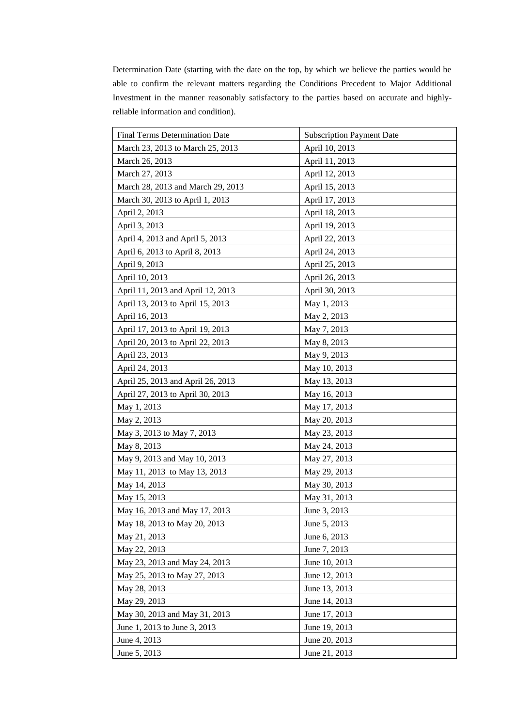Determination Date (starting with the date on the top, by which we believe the parties would be able to confirm the relevant matters regarding the Conditions Precedent to Major Additional Investment in the manner reasonably satisfactory to the parties based on accurate and highlyreliable information and condition).

| <b>Final Terms Determination Date</b> | <b>Subscription Payment Date</b> |
|---------------------------------------|----------------------------------|
| March 23, 2013 to March 25, 2013      | April 10, 2013                   |
| March 26, 2013                        | April 11, 2013                   |
| March 27, 2013                        | April 12, 2013                   |
| March 28, 2013 and March 29, 2013     | April 15, 2013                   |
| March 30, 2013 to April 1, 2013       | April 17, 2013                   |
| April 2, 2013                         | April 18, 2013                   |
| April 3, 2013                         | April 19, 2013                   |
| April 4, 2013 and April 5, 2013       | April 22, 2013                   |
| April 6, 2013 to April 8, 2013        | April 24, 2013                   |
| April 9, 2013                         | April 25, 2013                   |
| April 10, 2013                        | April 26, 2013                   |
| April 11, 2013 and April 12, 2013     | April 30, 2013                   |
| April 13, 2013 to April 15, 2013      | May 1, 2013                      |
| April 16, 2013                        | May 2, 2013                      |
| April 17, 2013 to April 19, 2013      | May 7, 2013                      |
| April 20, 2013 to April 22, 2013      | May 8, 2013                      |
| April 23, 2013                        | May 9, 2013                      |
| April 24, 2013                        | May 10, 2013                     |
| April 25, 2013 and April 26, 2013     | May 13, 2013                     |
| April 27, 2013 to April 30, 2013      | May 16, 2013                     |
| May 1, 2013                           | May 17, 2013                     |
| May 2, 2013                           | May 20, 2013                     |
| May 3, 2013 to May 7, 2013            | May 23, 2013                     |
| May 8, 2013                           | May 24, 2013                     |
| May 9, 2013 and May 10, 2013          | May 27, 2013                     |
| May 11, 2013 to May 13, 2013          | May 29, 2013                     |
| May 14, 2013                          | May 30, 2013                     |
| May 15, 2013                          | May 31, 2013                     |
| May 16, 2013 and May 17, 2013         | June 3, 2013                     |
| May 18, 2013 to May 20, 2013          | June 5, 2013                     |
| May 21, 2013                          | June 6, 2013                     |
| May 22, 2013                          | June 7, 2013                     |
| May 23, 2013 and May 24, 2013         | June 10, 2013                    |
| May 25, 2013 to May 27, 2013          | June 12, 2013                    |
| May 28, 2013                          | June 13, 2013                    |
| May 29, 2013                          | June 14, 2013                    |
| May 30, 2013 and May 31, 2013         | June 17, 2013                    |
| June 1, 2013 to June 3, 2013          | June 19, 2013                    |
| June 4, 2013                          | June 20, 2013                    |
| June 5, 2013                          | June 21, 2013                    |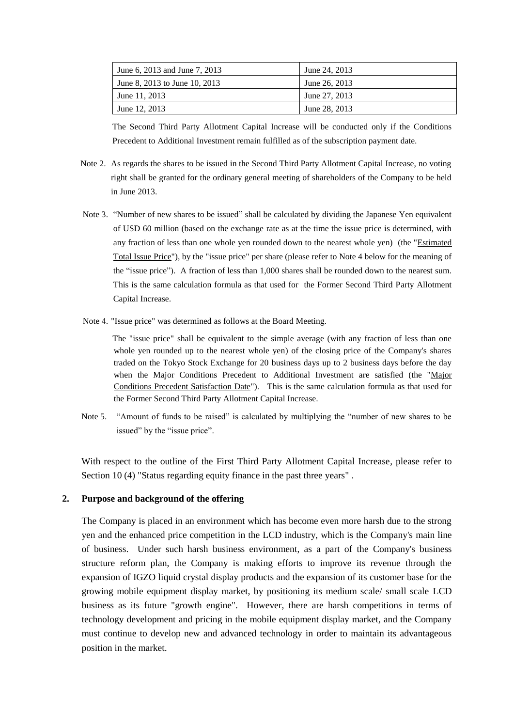| June 6, 2013 and June 7, 2013 | June 24, 2013 |
|-------------------------------|---------------|
| June 8, 2013 to June 10, 2013 | June 26, 2013 |
| June 11, 2013                 | June 27, 2013 |
| June 12, 2013                 | June 28, 2013 |

The Second Third Party Allotment Capital Increase will be conducted only if the Conditions Precedent to Additional Investment remain fulfilled as of the subscription payment date.

- Note 2. As regards the shares to be issued in the Second Third Party Allotment Capital Increase, no voting right shall be granted for the ordinary general meeting of shareholders of the Company to be held in June 2013.
- Note 3. "Number of new shares to be issued" shall be calculated by dividing the Japanese Yen equivalent of USD 60 million (based on the exchange rate as at the time the issue price is determined, with any fraction of less than one whole yen rounded down to the nearest whole yen) (the "Estimated Total Issue Price"), by the "issue price" per share (please refer to Note 4 below for the meaning of the "issue price"). A fraction of less than 1,000 shares shall be rounded down to the nearest sum. This is the same calculation formula as that used for the Former Second Third Party Allotment Capital Increase.
- Note 4. "Issue price" was determined as follows at the Board Meeting.

The "issue price" shall be equivalent to the simple average (with any fraction of less than one whole yen rounded up to the nearest whole yen) of the closing price of the Company's shares traded on the Tokyo Stock Exchange for 20 business days up to 2 business days before the day when the Major Conditions Precedent to Additional Investment are satisfied (the "Major Conditions Precedent Satisfaction Date"). This is the same calculation formula as that used for the Former Second Third Party Allotment Capital Increase.

Note 5. "Amount of funds to be raised" is calculated by multiplying the "number of new shares to be issued" by the "issue price".

With respect to the outline of the First Third Party Allotment Capital Increase, please refer to Section 10 (4) "Status regarding equity finance in the past three years" .

### **2. Purpose and background of the offering**

The Company is placed in an environment which has become even more harsh due to the strong yen and the enhanced price competition in the LCD industry, which is the Company's main line of business. Under such harsh business environment, as a part of the Company's business structure reform plan, the Company is making efforts to improve its revenue through the expansion of IGZO liquid crystal display products and the expansion of its customer base for the growing mobile equipment display market, by positioning its medium scale/ small scale LCD business as its future "growth engine". However, there are harsh competitions in terms of technology development and pricing in the mobile equipment display market, and the Company must continue to develop new and advanced technology in order to maintain its advantageous position in the market.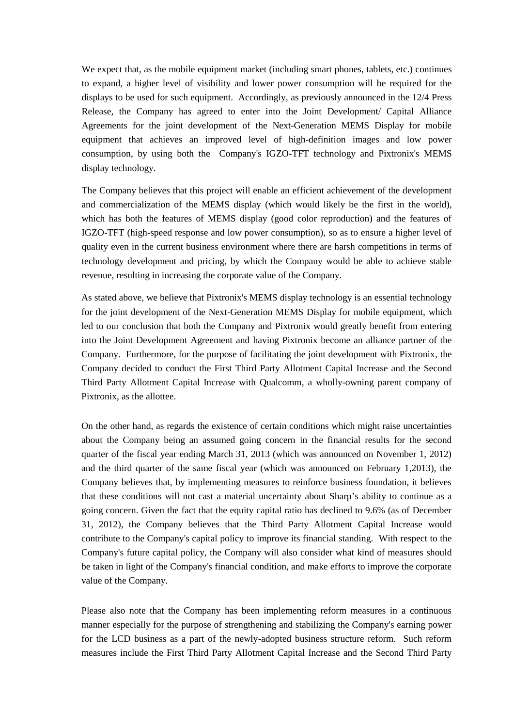We expect that, as the mobile equipment market (including smart phones, tablets, etc.) continues to expand, a higher level of visibility and lower power consumption will be required for the displays to be used for such equipment. Accordingly, as previously announced in the 12/4 Press Release, the Company has agreed to enter into the Joint Development/ Capital Alliance Agreements for the joint development of the Next-Generation MEMS Display for mobile equipment that achieves an improved level of high-definition images and low power consumption, by using both the Company's IGZO-TFT technology and Pixtronix's MEMS display technology.

The Company believes that this project will enable an efficient achievement of the development and commercialization of the MEMS display (which would likely be the first in the world), which has both the features of MEMS display (good color reproduction) and the features of IGZO-TFT (high-speed response and low power consumption), so as to ensure a higher level of quality even in the current business environment where there are harsh competitions in terms of technology development and pricing, by which the Company would be able to achieve stable revenue, resulting in increasing the corporate value of the Company.

As stated above, we believe that Pixtronix's MEMS display technology is an essential technology for the joint development of the Next-Generation MEMS Display for mobile equipment, which led to our conclusion that both the Company and Pixtronix would greatly benefit from entering into the Joint Development Agreement and having Pixtronix become an alliance partner of the Company. Furthermore, for the purpose of facilitating the joint development with Pixtronix, the Company decided to conduct the First Third Party Allotment Capital Increase and the Second Third Party Allotment Capital Increase with Qualcomm, a wholly-owning parent company of Pixtronix, as the allottee.

On the other hand, as regards the existence of certain conditions which might raise uncertainties about the Company being an assumed going concern in the financial results for the second quarter of the fiscal year ending March 31, 2013 (which was announced on November 1, 2012) and the third quarter of the same fiscal year (which was announced on February 1,2013), the Company believes that, by implementing measures to reinforce business foundation, it believes that these conditions will not cast a material uncertainty about Sharp's ability to continue as a going concern. Given the fact that the equity capital ratio has declined to 9.6% (as of December 31, 2012), the Company believes that the Third Party Allotment Capital Increase would contribute to the Company's capital policy to improve its financial standing. With respect to the Company's future capital policy, the Company will also consider what kind of measures should be taken in light of the Company's financial condition, and make efforts to improve the corporate value of the Company.

Please also note that the Company has been implementing reform measures in a continuous manner especially for the purpose of strengthening and stabilizing the Company's earning power for the LCD business as a part of the newly-adopted business structure reform. Such reform measures include the First Third Party Allotment Capital Increase and the Second Third Party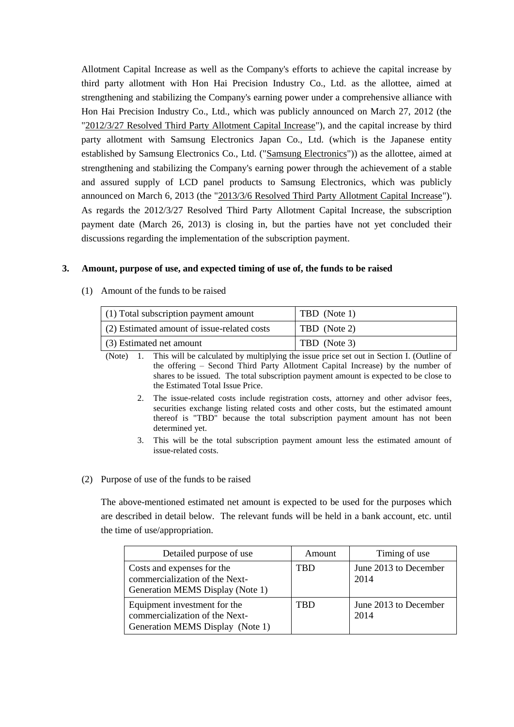Allotment Capital Increase as well as the Company's efforts to achieve the capital increase by third party allotment with Hon Hai Precision Industry Co., Ltd. as the allottee, aimed at strengthening and stabilizing the Company's earning power under a comprehensive alliance with Hon Hai Precision Industry Co., Ltd., which was publicly announced on March 27, 2012 (the "2012/3/27 Resolved Third Party Allotment Capital Increase"), and the capital increase by third party allotment with Samsung Electronics Japan Co., Ltd. (which is the Japanese entity established by Samsung Electronics Co., Ltd. ("Samsung Electronics")) as the allottee, aimed at strengthening and stabilizing the Company's earning power through the achievement of a stable and assured supply of LCD panel products to Samsung Electronics, which was publicly announced on March 6, 2013 (the "2013/3/6 Resolved Third Party Allotment Capital Increase"). As regards the 2012/3/27 Resolved Third Party Allotment Capital Increase, the subscription payment date (March 26, 2013) is closing in, but the parties have not yet concluded their discussions regarding the implementation of the subscription payment.

## **3. Amount, purpose of use, and expected timing of use of, the funds to be raised**

(1) Amount of the funds to be raised

| (1) Total subscription payment amount       | TBD (Note 1) |
|---------------------------------------------|--------------|
| (2) Estimated amount of issue-related costs | TBD (Note 2) |
| (3) Estimated net amount                    | TBD (Note 3) |

(Note) 1. This will be calculated by multiplying the issue price set out in Section I. (Outline of the offering – Second Third Party Allotment Capital Increase) by the number of shares to be issued. The total subscription payment amount is expected to be close to the Estimated Total Issue Price.

- 2. The issue-related costs include registration costs, attorney and other advisor fees, securities exchange listing related costs and other costs, but the estimated amount thereof is "TBD" because the total subscription payment amount has not been determined yet.
- 3. This will be the total subscription payment amount less the estimated amount of issue-related costs.

### (2) Purpose of use of the funds to be raised

The above-mentioned estimated net amount is expected to be used for the purposes which are described in detail below. The relevant funds will be held in a bank account, etc. until the time of use/appropriation.

| Detailed purpose of use                                                                            | Amount     | Timing of use                 |
|----------------------------------------------------------------------------------------------------|------------|-------------------------------|
| Costs and expenses for the<br>commercialization of the Next-<br>Generation MEMS Display (Note 1)   | <b>TBD</b> | June 2013 to December<br>2014 |
| Equipment investment for the<br>commercialization of the Next-<br>Generation MEMS Display (Note 1) | <b>TBD</b> | June 2013 to December<br>2014 |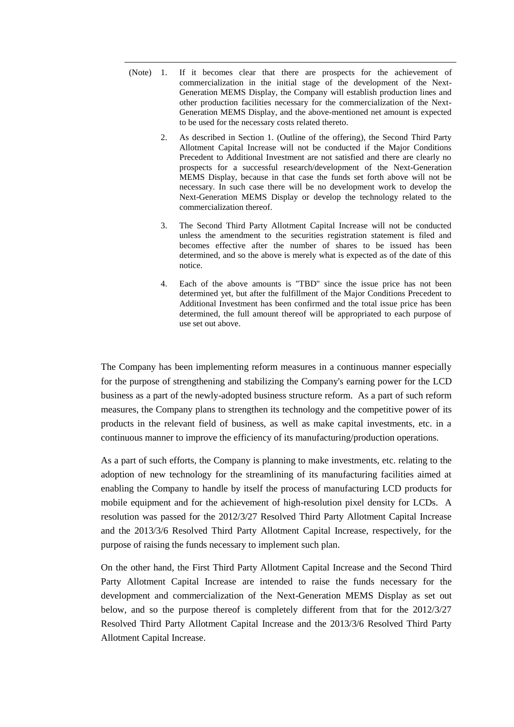- (Note) 1. If it becomes clear that there are prospects for the achievement of commercialization in the initial stage of the development of the Next-Generation MEMS Display, the Company will establish production lines and other production facilities necessary for the commercialization of the Next-Generation MEMS Display, and the above-mentioned net amount is expected to be used for the necessary costs related thereto.
	- 2. As described in Section 1. (Outline of the offering), the Second Third Party Allotment Capital Increase will not be conducted if the Major Conditions Precedent to Additional Investment are not satisfied and there are clearly no prospects for a successful research/development of the Next-Generation MEMS Display, because in that case the funds set forth above will not be necessary. In such case there will be no development work to develop the Next-Generation MEMS Display or develop the technology related to the commercialization thereof.
	- 3. The Second Third Party Allotment Capital Increase will not be conducted unless the amendment to the securities registration statement is filed and becomes effective after the number of shares to be issued has been determined, and so the above is merely what is expected as of the date of this notice.
	- 4. Each of the above amounts is "TBD" since the issue price has not been determined yet, but after the fulfillment of the Major Conditions Precedent to Additional Investment has been confirmed and the total issue price has been determined, the full amount thereof will be appropriated to each purpose of use set out above.

The Company has been implementing reform measures in a continuous manner especially for the purpose of strengthening and stabilizing the Company's earning power for the LCD business as a part of the newly-adopted business structure reform. As a part of such reform measures, the Company plans to strengthen its technology and the competitive power of its products in the relevant field of business, as well as make capital investments, etc. in a continuous manner to improve the efficiency of its manufacturing/production operations.

As a part of such efforts, the Company is planning to make investments, etc. relating to the adoption of new technology for the streamlining of its manufacturing facilities aimed at enabling the Company to handle by itself the process of manufacturing LCD products for mobile equipment and for the achievement of high-resolution pixel density for LCDs. A resolution was passed for the 2012/3/27 Resolved Third Party Allotment Capital Increase and the 2013/3/6 Resolved Third Party Allotment Capital Increase, respectively, for the purpose of raising the funds necessary to implement such plan.

On the other hand, the First Third Party Allotment Capital Increase and the Second Third Party Allotment Capital Increase are intended to raise the funds necessary for the development and commercialization of the Next-Generation MEMS Display as set out below, and so the purpose thereof is completely different from that for the 2012/3/27 Resolved Third Party Allotment Capital Increase and the 2013/3/6 Resolved Third Party Allotment Capital Increase.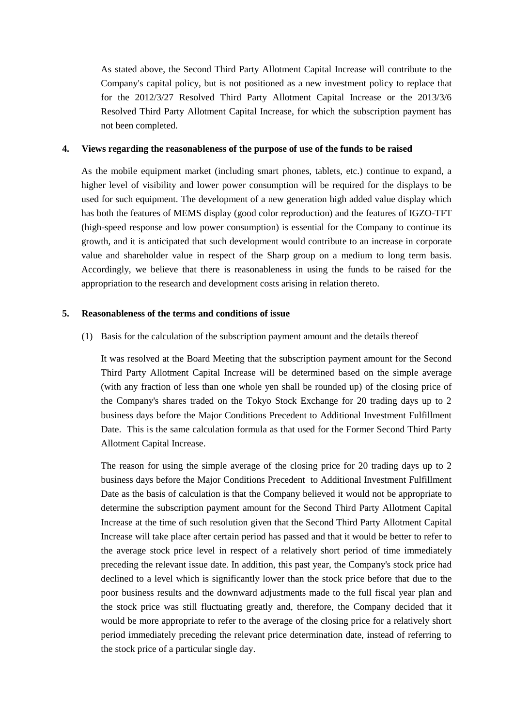As stated above, the Second Third Party Allotment Capital Increase will contribute to the Company's capital policy, but is not positioned as a new investment policy to replace that for the 2012/3/27 Resolved Third Party Allotment Capital Increase or the 2013/3/6 Resolved Third Party Allotment Capital Increase, for which the subscription payment has not been completed.

#### **4. Views regarding the reasonableness of the purpose of use of the funds to be raised**

As the mobile equipment market (including smart phones, tablets, etc.) continue to expand, a higher level of visibility and lower power consumption will be required for the displays to be used for such equipment. The development of a new generation high added value display which has both the features of MEMS display (good color reproduction) and the features of IGZO-TFT (high-speed response and low power consumption) is essential for the Company to continue its growth, and it is anticipated that such development would contribute to an increase in corporate value and shareholder value in respect of the Sharp group on a medium to long term basis. Accordingly, we believe that there is reasonableness in using the funds to be raised for the appropriation to the research and development costs arising in relation thereto.

#### **5. Reasonableness of the terms and conditions of issue**

(1) Basis for the calculation of the subscription payment amount and the details thereof

It was resolved at the Board Meeting that the subscription payment amount for the Second Third Party Allotment Capital Increase will be determined based on the simple average (with any fraction of less than one whole yen shall be rounded up) of the closing price of the Company's shares traded on the Tokyo Stock Exchange for 20 trading days up to 2 business days before the Major Conditions Precedent to Additional Investment Fulfillment Date. This is the same calculation formula as that used for the Former Second Third Party Allotment Capital Increase.

The reason for using the simple average of the closing price for 20 trading days up to 2 business days before the Major Conditions Precedent to Additional Investment Fulfillment Date as the basis of calculation is that the Company believed it would not be appropriate to determine the subscription payment amount for the Second Third Party Allotment Capital Increase at the time of such resolution given that the Second Third Party Allotment Capital Increase will take place after certain period has passed and that it would be better to refer to the average stock price level in respect of a relatively short period of time immediately preceding the relevant issue date. In addition, this past year, the Company's stock price had declined to a level which is significantly lower than the stock price before that due to the poor business results and the downward adjustments made to the full fiscal year plan and the stock price was still fluctuating greatly and, therefore, the Company decided that it would be more appropriate to refer to the average of the closing price for a relatively short period immediately preceding the relevant price determination date, instead of referring to the stock price of a particular single day.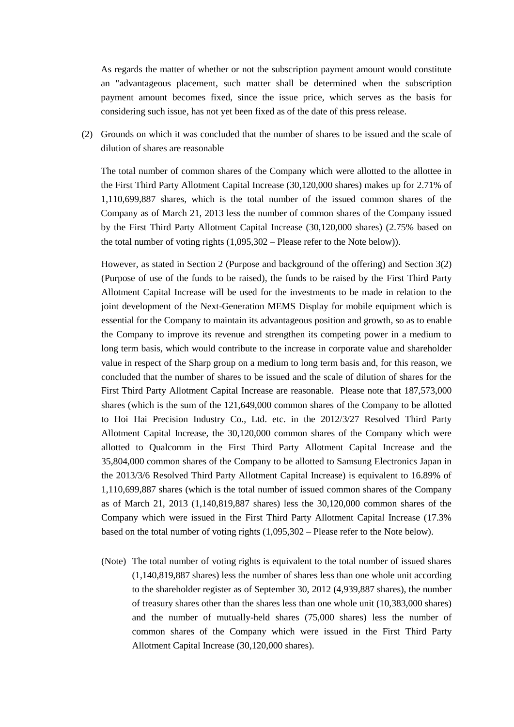As regards the matter of whether or not the subscription payment amount would constitute an "advantageous placement, such matter shall be determined when the subscription payment amount becomes fixed, since the issue price, which serves as the basis for considering such issue, has not yet been fixed as of the date of this press release.

(2) Grounds on which it was concluded that the number of shares to be issued and the scale of dilution of shares are reasonable

The total number of common shares of the Company which were allotted to the allottee in the First Third Party Allotment Capital Increase (30,120,000 shares) makes up for 2.71% of 1,110,699,887 shares, which is the total number of the issued common shares of the Company as of March 21, 2013 less the number of common shares of the Company issued by the First Third Party Allotment Capital Increase (30,120,000 shares) (2.75% based on the total number of voting rights (1,095,302 – Please refer to the Note below)).

However, as stated in Section 2 (Purpose and background of the offering) and Section 3(2) (Purpose of use of the funds to be raised), the funds to be raised by the First Third Party Allotment Capital Increase will be used for the investments to be made in relation to the joint development of the Next-Generation MEMS Display for mobile equipment which is essential for the Company to maintain its advantageous position and growth, so as to enable the Company to improve its revenue and strengthen its competing power in a medium to long term basis, which would contribute to the increase in corporate value and shareholder value in respect of the Sharp group on a medium to long term basis and, for this reason, we concluded that the number of shares to be issued and the scale of dilution of shares for the First Third Party Allotment Capital Increase are reasonable. Please note that 187,573,000 shares (which is the sum of the 121,649,000 common shares of the Company to be allotted to Hoi Hai Precision Industry Co., Ltd. etc. in the 2012/3/27 Resolved Third Party Allotment Capital Increase, the 30,120,000 common shares of the Company which were allotted to Qualcomm in the First Third Party Allotment Capital Increase and the 35,804,000 common shares of the Company to be allotted to Samsung Electronics Japan in the 2013/3/6 Resolved Third Party Allotment Capital Increase) is equivalent to 16.89% of 1,110,699,887 shares (which is the total number of issued common shares of the Company as of March 21, 2013 (1,140,819,887 shares) less the 30,120,000 common shares of the Company which were issued in the First Third Party Allotment Capital Increase (17.3% based on the total number of voting rights (1,095,302 – Please refer to the Note below).

(Note) The total number of voting rights is equivalent to the total number of issued shares (1,140,819,887 shares) less the number of shares less than one whole unit according to the shareholder register as of September 30, 2012 (4,939,887 shares), the number of treasury shares other than the shares less than one whole unit (10,383,000 shares) and the number of mutually-held shares (75,000 shares) less the number of common shares of the Company which were issued in the First Third Party Allotment Capital Increase (30,120,000 shares).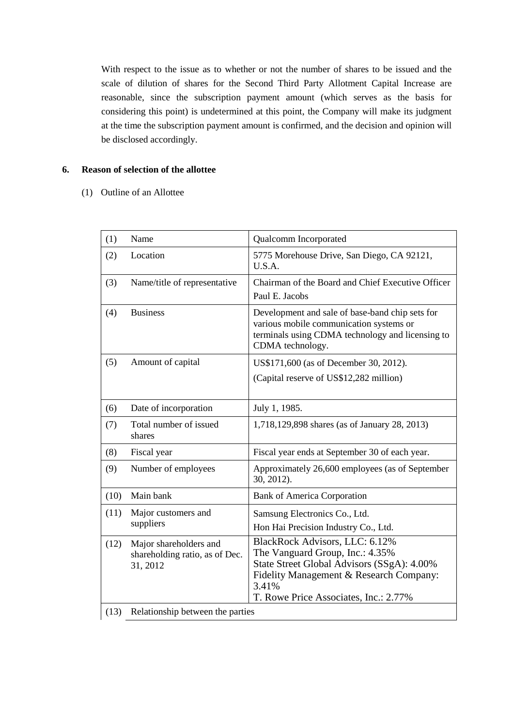With respect to the issue as to whether or not the number of shares to be issued and the scale of dilution of shares for the Second Third Party Allotment Capital Increase are reasonable, since the subscription payment amount (which serves as the basis for considering this point) is undetermined at this point, the Company will make its judgment at the time the subscription payment amount is confirmed, and the decision and opinion will be disclosed accordingly.

## **6. Reason of selection of the allottee**

(1) Outline of an Allottee

| (1)  | Name                                                                 | Qualcomm Incorporated                                                                                                                                                                                        |
|------|----------------------------------------------------------------------|--------------------------------------------------------------------------------------------------------------------------------------------------------------------------------------------------------------|
| (2)  | Location                                                             | 5775 Morehouse Drive, San Diego, CA 92121,<br>U.S.A.                                                                                                                                                         |
| (3)  | Name/title of representative                                         | Chairman of the Board and Chief Executive Officer<br>Paul E. Jacobs                                                                                                                                          |
| (4)  | <b>Business</b>                                                      | Development and sale of base-band chip sets for<br>various mobile communication systems or<br>terminals using CDMA technology and licensing to<br>CDMA technology.                                           |
| (5)  | Amount of capital                                                    | US\$171,600 (as of December 30, 2012).                                                                                                                                                                       |
|      |                                                                      | (Capital reserve of US\$12,282 million)                                                                                                                                                                      |
| (6)  | Date of incorporation                                                | July 1, 1985.                                                                                                                                                                                                |
| (7)  | Total number of issued<br>shares                                     | 1,718,129,898 shares (as of January 28, 2013)                                                                                                                                                                |
| (8)  | Fiscal year                                                          | Fiscal year ends at September 30 of each year.                                                                                                                                                               |
| (9)  | Number of employees                                                  | Approximately 26,600 employees (as of September<br>30, 2012).                                                                                                                                                |
| (10) | Main bank                                                            | <b>Bank of America Corporation</b>                                                                                                                                                                           |
| (11) | Major customers and<br>suppliers                                     | Samsung Electronics Co., Ltd.<br>Hon Hai Precision Industry Co., Ltd.                                                                                                                                        |
| (12) | Major shareholders and<br>shareholding ratio, as of Dec.<br>31, 2012 | BlackRock Advisors, LLC: 6.12%<br>The Vanguard Group, Inc.: 4.35%<br>State Street Global Advisors (SSgA): 4.00%<br>Fidelity Management & Research Company:<br>3.41%<br>T. Rowe Price Associates, Inc.: 2.77% |
| (13) | Relationship between the parties                                     |                                                                                                                                                                                                              |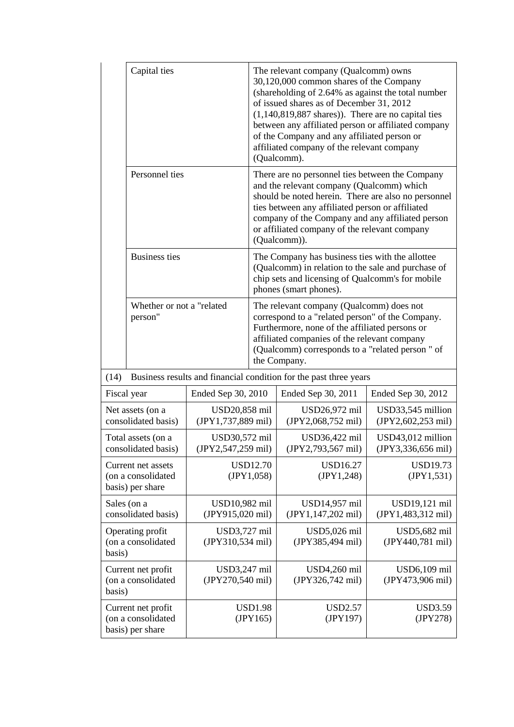|                                                                                      | Capital ties                                                                           |                                     |                                                                                                                                                                                                                                                                   | The relevant company (Qualcomm) owns<br>30,120,000 common shares of the Company<br>(shareholding of 2.64% as against the total number<br>of issued shares as of December 31, 2012<br>$(1,140,819,887$ shares)). There are no capital ties<br>between any affiliated person or affiliated company<br>of the Company and any affiliated person or<br>affiliated company of the relevant company<br>(Qualcomm). |                                         |  |
|--------------------------------------------------------------------------------------|----------------------------------------------------------------------------------------|-------------------------------------|-------------------------------------------------------------------------------------------------------------------------------------------------------------------------------------------------------------------------------------------------------------------|--------------------------------------------------------------------------------------------------------------------------------------------------------------------------------------------------------------------------------------------------------------------------------------------------------------------------------------------------------------------------------------------------------------|-----------------------------------------|--|
|                                                                                      | Personnel ties                                                                         |                                     |                                                                                                                                                                                                                                                                   | There are no personnel ties between the Company<br>and the relevant company (Qualcomm) which<br>should be noted herein. There are also no personnel<br>ties between any affiliated person or affiliated<br>company of the Company and any affiliated person<br>or affiliated company of the relevant company<br>(Qualcomm)).                                                                                 |                                         |  |
|                                                                                      | <b>Business ties</b><br>Whether or not a "related<br>person"                           |                                     | The Company has business ties with the allottee<br>(Qualcomm) in relation to the sale and purchase of<br>chip sets and licensing of Qualcomm's for mobile<br>phones (smart phones).                                                                               |                                                                                                                                                                                                                                                                                                                                                                                                              |                                         |  |
|                                                                                      |                                                                                        |                                     | The relevant company (Qualcomm) does not<br>correspond to a "related person" of the Company.<br>Furthermore, none of the affiliated persons or<br>affiliated companies of the relevant company<br>(Qualcomm) corresponds to a "related person" of<br>the Company. |                                                                                                                                                                                                                                                                                                                                                                                                              |                                         |  |
| (14)                                                                                 |                                                                                        |                                     |                                                                                                                                                                                                                                                                   | Business results and financial condition for the past three years                                                                                                                                                                                                                                                                                                                                            |                                         |  |
|                                                                                      | Fiscal year                                                                            | Ended Sep 30, 2010                  |                                                                                                                                                                                                                                                                   | Ended Sep 30, 2011                                                                                                                                                                                                                                                                                                                                                                                           | Ended Sep 30, 2012                      |  |
|                                                                                      | Net assets (on a<br>consolidated basis)                                                | USD20,858 mil<br>(JPY1,737,889 mil) |                                                                                                                                                                                                                                                                   | USD26,972 mil<br>(JPY2,068,752 mil)                                                                                                                                                                                                                                                                                                                                                                          | USD33,545 million<br>(JPY2,602,253 mil) |  |
|                                                                                      | Total assets (on a<br>consolidated basis)                                              | USD30,572 mil<br>(JPY2,547,259 mil) |                                                                                                                                                                                                                                                                   | USD36,422 mil<br>(JPY2,793,567 mil)                                                                                                                                                                                                                                                                                                                                                                          | USD43,012 million<br>(JPY3,336,656 mil) |  |
| Current net assets<br>(on a consolidated<br>basis) per share                         |                                                                                        | <b>USD12.70</b><br>(JPY1,058)       | <b>USD16.27</b><br>(IPY1,248)                                                                                                                                                                                                                                     | <b>USD19.73</b><br>(JPY1, 531)                                                                                                                                                                                                                                                                                                                                                                               |                                         |  |
| Sales (on a<br>USD10,982 mil<br>(JPY915,020 mil)<br>consolidated basis)              |                                                                                        |                                     | USD14,957 mil<br>(JPY1,147,202 mil)                                                                                                                                                                                                                               | USD19,121 mil<br>(JPY1,483,312 mil)                                                                                                                                                                                                                                                                                                                                                                          |                                         |  |
| Operating profit<br>USD3,727 mil<br>(on a consolidated<br>(JPY310,534 mil)<br>basis) |                                                                                        |                                     | USD5,026 mil<br>(JPY385,494 mil)                                                                                                                                                                                                                                  | USD5,682 mil<br>(JPY440,781 mil)                                                                                                                                                                                                                                                                                                                                                                             |                                         |  |
|                                                                                      | USD3,247 mil<br>Current net profit<br>(on a consolidated<br>(JPY270,540 mil)<br>basis) |                                     |                                                                                                                                                                                                                                                                   | USD4,260 mil<br>(JPY326,742 mil)                                                                                                                                                                                                                                                                                                                                                                             | USD6,109 mil<br>(JPY473,906 mil)        |  |
| Current net profit<br>(on a consolidated<br>basis) per share                         |                                                                                        | <b>USD1.98</b><br>(JPY165)          | <b>USD2.57</b><br>(JPY197)                                                                                                                                                                                                                                        | <b>USD3.59</b><br>(JPY278)                                                                                                                                                                                                                                                                                                                                                                                   |                                         |  |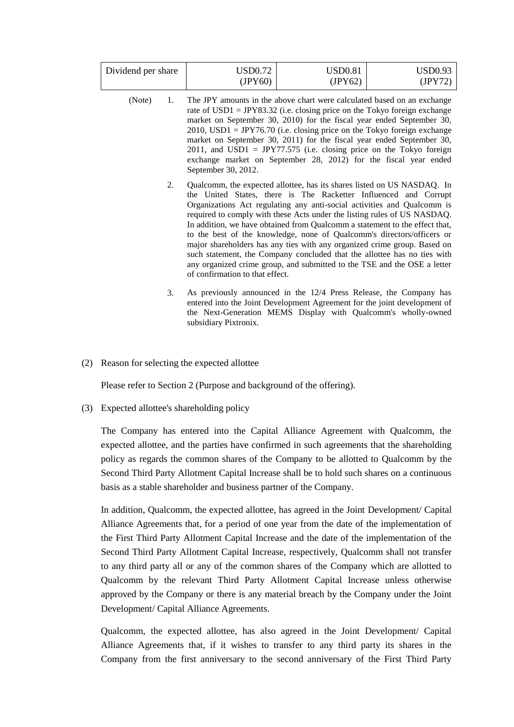| Dividend per share | USD0.72 | USD0.81 | USD0.93 |
|--------------------|---------|---------|---------|
|                    | (IPY60) | (JPY62) | (JPY72) |

- (Note) 1. The JPY amounts in the above chart were calculated based on an exchange rate of  $USD1 = JPY83.32$  (i.e. closing price on the Tokyo foreign exchange market on September 30, 2010) for the fiscal year ended September 30,  $2010$ , USD1 = JPY76.70 (i.e. closing price on the Tokyo foreign exchange market on September 30, 2011) for the fiscal year ended September 30, 2011, and USD1 = JPY77.575 (i.e. closing price on the Tokyo foreign exchange market on September 28, 2012) for the fiscal year ended September 30, 2012.
	- 2. Qualcomm, the expected allottee, has its shares listed on US NASDAQ. In the United States, there is The Racketter Influenced and Corrupt Organizations Act regulating any anti-social activities and Qualcomm is required to comply with these Acts under the listing rules of US NASDAQ. In addition, we have obtained from Qualcomm a statement to the effect that, to the best of the knowledge, none of Qualcomm's directors/officers or major shareholders has any ties with any organized crime group. Based on such statement, the Company concluded that the allottee has no ties with any organized crime group, and submitted to the TSE and the OSE a letter of confirmation to that effect.
	- 3. As previously announced in the 12/4 Press Release, the Company has entered into the Joint Development Agreement for the joint development of the Next-Generation MEMS Display with Qualcomm's wholly-owned subsidiary Pixtronix.
- (2) Reason for selecting the expected allottee

Please refer to Section 2 (Purpose and background of the offering).

(3) Expected allottee's shareholding policy

The Company has entered into the Capital Alliance Agreement with Qualcomm, the expected allottee, and the parties have confirmed in such agreements that the shareholding policy as regards the common shares of the Company to be allotted to Qualcomm by the Second Third Party Allotment Capital Increase shall be to hold such shares on a continuous basis as a stable shareholder and business partner of the Company.

In addition, Qualcomm, the expected allottee, has agreed in the Joint Development/ Capital Alliance Agreements that, for a period of one year from the date of the implementation of the First Third Party Allotment Capital Increase and the date of the implementation of the Second Third Party Allotment Capital Increase, respectively, Qualcomm shall not transfer to any third party all or any of the common shares of the Company which are allotted to Qualcomm by the relevant Third Party Allotment Capital Increase unless otherwise approved by the Company or there is any material breach by the Company under the Joint Development/ Capital Alliance Agreements.

Qualcomm, the expected allottee, has also agreed in the Joint Development/ Capital Alliance Agreements that, if it wishes to transfer to any third party its shares in the Company from the first anniversary to the second anniversary of the First Third Party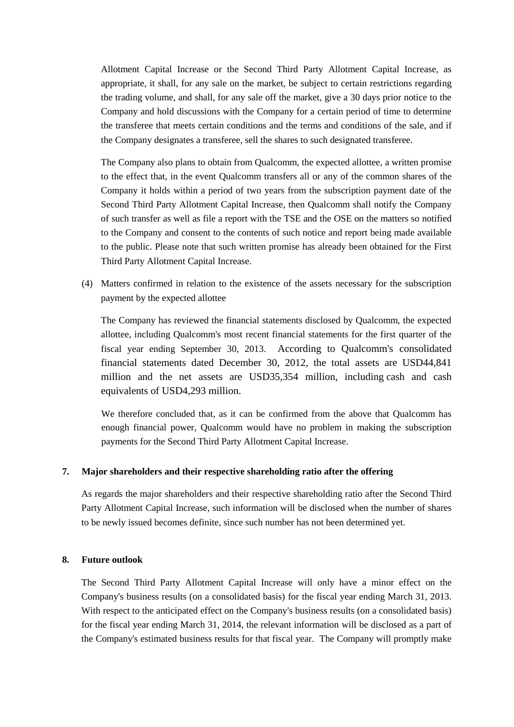Allotment Capital Increase or the Second Third Party Allotment Capital Increase, as appropriate, it shall, for any sale on the market, be subject to certain restrictions regarding the trading volume, and shall, for any sale off the market, give a 30 days prior notice to the Company and hold discussions with the Company for a certain period of time to determine the transferee that meets certain conditions and the terms and conditions of the sale, and if the Company designates a transferee, sell the shares to such designated transferee.

The Company also plans to obtain from Qualcomm, the expected allottee, a written promise to the effect that, in the event Qualcomm transfers all or any of the common shares of the Company it holds within a period of two years from the subscription payment date of the Second Third Party Allotment Capital Increase, then Qualcomm shall notify the Company of such transfer as well as file a report with the TSE and the OSE on the matters so notified to the Company and consent to the contents of such notice and report being made available to the public. Please note that such written promise has already been obtained for the First Third Party Allotment Capital Increase.

(4) Matters confirmed in relation to the existence of the assets necessary for the subscription payment by the expected allottee

The Company has reviewed the financial statements disclosed by Qualcomm, the expected allottee, including Qualcomm's most recent financial statements for the first quarter of the fiscal year ending September 30, 2013. According to Qualcomm's consolidated financial statements dated December 30, 2012, the total assets are USD44,841 million and the net assets are USD35,354 million, including cash and cash equivalents of USD4,293 million.

We therefore concluded that, as it can be confirmed from the above that Qualcomm has enough financial power, Qualcomm would have no problem in making the subscription payments for the Second Third Party Allotment Capital Increase.

### **7. Major shareholders and their respective shareholding ratio after the offering**

As regards the major shareholders and their respective shareholding ratio after the Second Third Party Allotment Capital Increase, such information will be disclosed when the number of shares to be newly issued becomes definite, since such number has not been determined yet.

### **8. Future outlook**

The Second Third Party Allotment Capital Increase will only have a minor effect on the Company's business results (on a consolidated basis) for the fiscal year ending March 31, 2013. With respect to the anticipated effect on the Company's business results (on a consolidated basis) for the fiscal year ending March 31, 2014, the relevant information will be disclosed as a part of the Company's estimated business results for that fiscal year. The Company will promptly make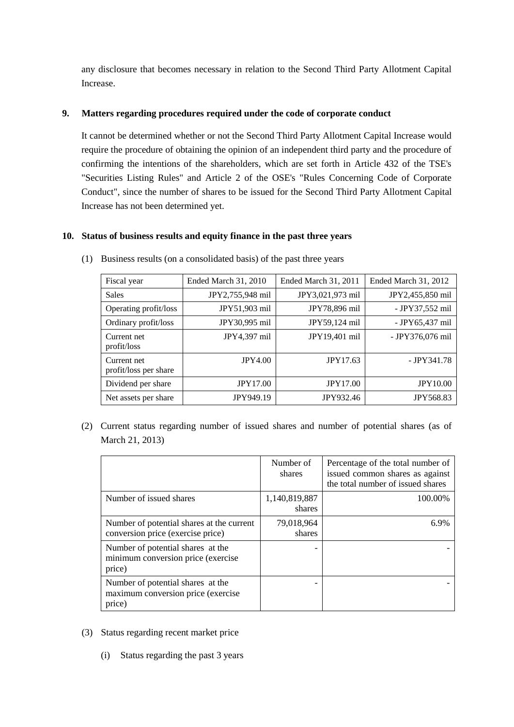any disclosure that becomes necessary in relation to the Second Third Party Allotment Capital Increase.

## **9. Matters regarding procedures required under the code of corporate conduct**

It cannot be determined whether or not the Second Third Party Allotment Capital Increase would require the procedure of obtaining the opinion of an independent third party and the procedure of confirming the intentions of the shareholders, which are set forth in Article 432 of the TSE's "Securities Listing Rules" and Article 2 of the OSE's "Rules Concerning Code of Corporate Conduct", since the number of shares to be issued for the Second Third Party Allotment Capital Increase has not been determined yet.

### **10. Status of business results and equity finance in the past three years**

| Fiscal year                          | Ended March 31, 2010 | Ended March 31, 2011 | Ended March 31, 2012 |
|--------------------------------------|----------------------|----------------------|----------------------|
| <b>Sales</b>                         | JPY2,755,948 mil     | JPY3,021,973 mil     | JPY2,455,850 mil     |
| Operating profit/loss                | JPY51,903 mil        | JPY78,896 mil        | - JPY37,552 mil      |
| Ordinary profit/loss                 | JPY30,995 mil        | JPY59,124 mil        | - JPY65,437 mil      |
| Current net<br>profit/loss           | JPY4,397 mil         | JPY19,401 mil        | - JPY376,076 mil     |
| Current net<br>profit/loss per share | <b>JPY4.00</b>       | JPY17.63             | $-$ JPY341.78        |
| Dividend per share                   | <b>JPY17.00</b>      | <b>JPY17.00</b>      | <b>JPY10.00</b>      |
| Net assets per share                 | JPY949.19            | JPY932.46            | <b>JPY568.83</b>     |

(1) Business results (on a consolidated basis) of the past three years

(2) Current status regarding number of issued shares and number of potential shares (as of March 21, 2013)

|                                                                                   | Number of<br>shares     | Percentage of the total number of<br>issued common shares as against<br>the total number of issued shares |
|-----------------------------------------------------------------------------------|-------------------------|-----------------------------------------------------------------------------------------------------------|
| Number of issued shares                                                           | 1,140,819,887<br>shares | 100.00%                                                                                                   |
| Number of potential shares at the current<br>conversion price (exercise price)    | 79,018,964<br>shares    | 6 ዓ%                                                                                                      |
| Number of potential shares at the<br>minimum conversion price (exercise<br>price) |                         |                                                                                                           |
| Number of potential shares at the<br>maximum conversion price (exercise<br>price) |                         |                                                                                                           |

- (3) Status regarding recent market price
	- (i) Status regarding the past 3 years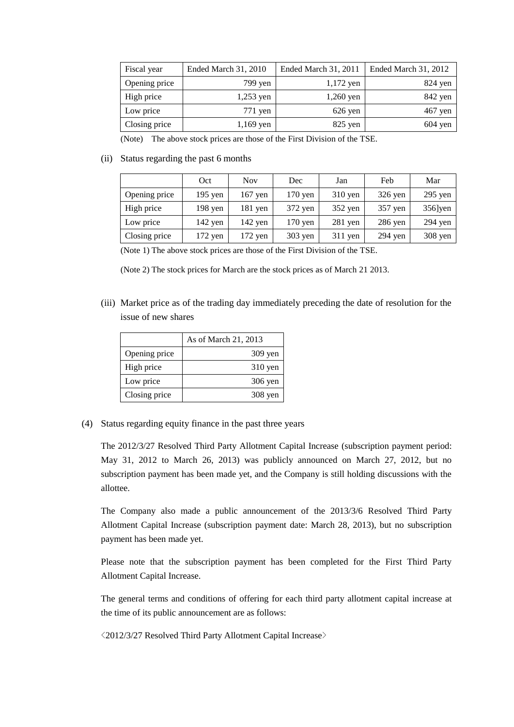| Fiscal year   | Ended March 31, 2010 | Ended March 31, 2011 | Ended March 31, 2012 |
|---------------|----------------------|----------------------|----------------------|
| Opening price | 799 yen              | $1,172$ yen          | $824$ yen            |
| High price    | $1,253$ yen          | $1,260$ yen          | 842 yen              |
| Low price     | 771 yen              | $626$ yen            | $467$ yen            |
| Closing price | $1,169$ yen          | $825$ yen            | $604 \text{ yen}$    |

(Note) The above stock prices are those of the First Division of the TSE.

### (ii) Status regarding the past 6 months

|               | Oct       | <b>Nov</b> | Dec               | Jan       | Feb       | Mar        |
|---------------|-----------|------------|-------------------|-----------|-----------|------------|
| Opening price | $195$ yen | $167$ yen  | $170 \text{ yen}$ | $310$ yen | $326$ yen | $295$ yen  |
| High price    | $198$ yen | $181$ yen  | 372 yen           | $352$ yen | $357$ yen | $356$ ]yen |
| Low price     | $142$ yen | $142$ yen  | $170 \text{ yen}$ | $281$ yen | $286$ yen | $294$ yen  |
| Closing price | $172$ yen | 172 yen    | $303$ yen         | $311$ yen | $294$ yen | $308$ yen  |

(Note 1) The above stock prices are those of the First Division of the TSE.

(Note 2) The stock prices for March are the stock prices as of March 21 2013.

(iii) Market price as of the trading day immediately preceding the date of resolution for the issue of new shares

|               | As of March 21, 2013 |
|---------------|----------------------|
| Opening price | $309$ yen            |
| High price    | $310$ yen            |
| Low price     | $306$ yen            |
| Closing price | $308$ yen            |

(4) Status regarding equity finance in the past three years

The 2012/3/27 Resolved Third Party Allotment Capital Increase (subscription payment period: May 31, 2012 to March 26, 2013) was publicly announced on March 27, 2012, but no subscription payment has been made yet, and the Company is still holding discussions with the allottee.

The Company also made a public announcement of the 2013/3/6 Resolved Third Party Allotment Capital Increase (subscription payment date: March 28, 2013), but no subscription payment has been made yet.

Please note that the subscription payment has been completed for the First Third Party Allotment Capital Increase.

The general terms and conditions of offering for each third party allotment capital increase at the time of its public announcement are as follows:

<2012/3/27 Resolved Third Party Allotment Capital Increase>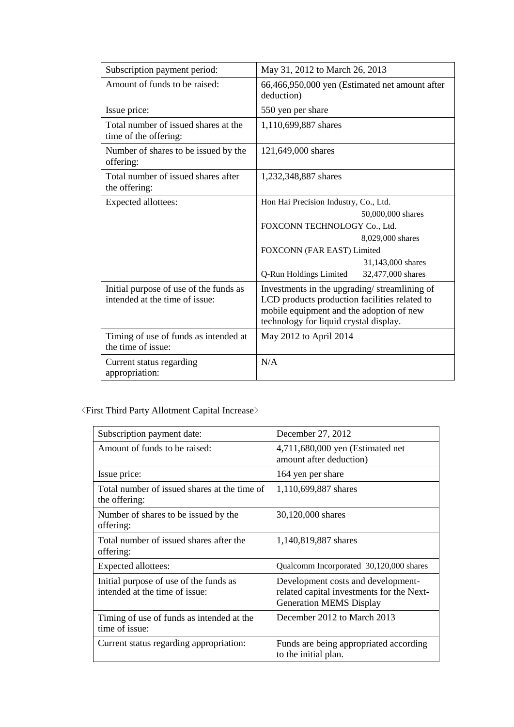| Subscription payment period:                                             | May 31, 2012 to March 26, 2013                                                                                                                                                      |  |  |
|--------------------------------------------------------------------------|-------------------------------------------------------------------------------------------------------------------------------------------------------------------------------------|--|--|
| Amount of funds to be raised:                                            | 66,466,950,000 yen (Estimated net amount after<br>deduction)                                                                                                                        |  |  |
| Issue price:                                                             | 550 yen per share                                                                                                                                                                   |  |  |
| Total number of issued shares at the<br>time of the offering:            | 1,110,699,887 shares                                                                                                                                                                |  |  |
| Number of shares to be issued by the<br>offering:                        | 121,649,000 shares                                                                                                                                                                  |  |  |
| Total number of issued shares after<br>the offering:                     | 1,232,348,887 shares                                                                                                                                                                |  |  |
| Expected allottees:                                                      | Hon Hai Precision Industry, Co., Ltd.                                                                                                                                               |  |  |
|                                                                          | 50,000,000 shares                                                                                                                                                                   |  |  |
|                                                                          | FOXCONN TECHNOLOGY Co., Ltd.                                                                                                                                                        |  |  |
|                                                                          | 8,029,000 shares                                                                                                                                                                    |  |  |
|                                                                          | FOXCONN (FAR EAST) Limited                                                                                                                                                          |  |  |
|                                                                          | 31,143,000 shares                                                                                                                                                                   |  |  |
|                                                                          | Q-Run Holdings Limited<br>32,477,000 shares                                                                                                                                         |  |  |
| Initial purpose of use of the funds as<br>intended at the time of issue: | Investments in the upgrading/streamlining of<br>LCD products production facilities related to<br>mobile equipment and the adoption of new<br>technology for liquid crystal display. |  |  |
| Timing of use of funds as intended at<br>the time of issue:              | May 2012 to April 2014                                                                                                                                                              |  |  |
| Current status regarding<br>appropriation:                               | N/A                                                                                                                                                                                 |  |  |

# $\langle$  First Third Party Allotment Capital Increase $\rangle$

| Subscription payment date:                                               | December 27, 2012                                                                                                 |  |
|--------------------------------------------------------------------------|-------------------------------------------------------------------------------------------------------------------|--|
| Amount of funds to be raised:                                            | 4,711,680,000 yen (Estimated net<br>amount after deduction)                                                       |  |
| Issue price:                                                             | 164 yen per share                                                                                                 |  |
| Total number of issued shares at the time of<br>the offering:            | 1,110,699,887 shares                                                                                              |  |
| Number of shares to be issued by the<br>offering:                        | 30,120,000 shares                                                                                                 |  |
| Total number of issued shares after the<br>offering:                     | 1,140,819,887 shares                                                                                              |  |
| Expected allottees:                                                      | Qualcomm Incorporated 30,120,000 shares                                                                           |  |
| Initial purpose of use of the funds as<br>intended at the time of issue: | Development costs and development-<br>related capital investments for the Next-<br><b>Generation MEMS Display</b> |  |
| Timing of use of funds as intended at the<br>time of issue:              | December 2012 to March 2013                                                                                       |  |
| Current status regarding appropriation:                                  | Funds are being appropriated according<br>to the initial plan.                                                    |  |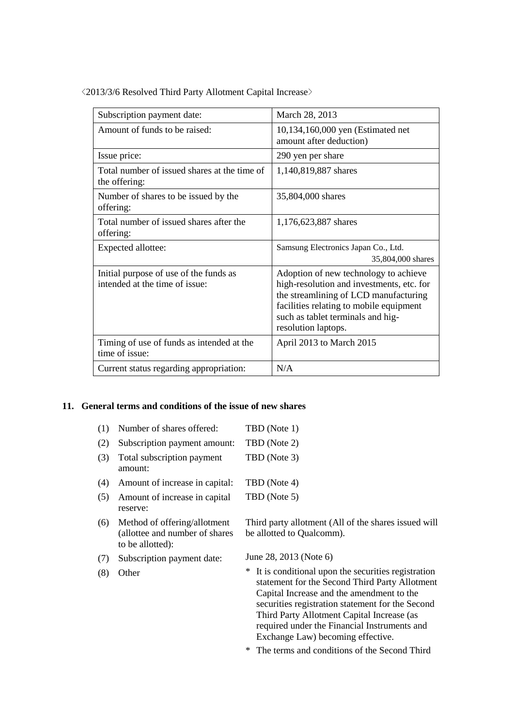<2013/3/6 Resolved Third Party Allotment Capital Increase>

| Subscription payment date:                                               | March 28, 2013                                                                                                                                                                                                                     |  |
|--------------------------------------------------------------------------|------------------------------------------------------------------------------------------------------------------------------------------------------------------------------------------------------------------------------------|--|
| Amount of funds to be raised:                                            | 10,134,160,000 yen (Estimated net<br>amount after deduction)                                                                                                                                                                       |  |
| Issue price:                                                             | 290 yen per share                                                                                                                                                                                                                  |  |
| Total number of issued shares at the time of<br>the offering:            | 1,140,819,887 shares                                                                                                                                                                                                               |  |
| Number of shares to be issued by the<br>offering:                        | 35,804,000 shares                                                                                                                                                                                                                  |  |
| Total number of issued shares after the<br>offering:                     | 1,176,623,887 shares                                                                                                                                                                                                               |  |
|                                                                          |                                                                                                                                                                                                                                    |  |
| Expected allottee:                                                       | Samsung Electronics Japan Co., Ltd.<br>35,804,000 shares                                                                                                                                                                           |  |
| Initial purpose of use of the funds as<br>intended at the time of issue: | Adoption of new technology to achieve<br>high-resolution and investments, etc. for<br>the streamlining of LCD manufacturing<br>facilities relating to mobile equipment<br>such as tablet terminals and hig-<br>resolution laptops. |  |
| Timing of use of funds as intended at the<br>time of issue:              | April 2013 to March 2015                                                                                                                                                                                                           |  |

### **11. General terms and conditions of the issue of new shares**

| Number of shares offered:             | TBD (Note 1) |
|---------------------------------------|--------------|
| Subscription payment amount:          | TBD (Note 2) |
| Total subscription payment<br>amount: | TBD (Note 3) |
| Amount of increase in capital:        | TBD (Note 4) |
| Amount of increase in capital         | TBD (Note 5) |
|                                       | reserve:     |

- (6) Method of offering/allotment (allottee and number of shares to be allotted):
- (7) Subscription payment date: June 28, 2013 (Note 6)
	-

be allotted to Qualcomm).

(8) Other \* It is conditional upon the securities registration statement for the Second Third Party Allotment Capital Increase and the amendment to the securities registration statement for the Second Third Party Allotment Capital Increase (as required under the Financial Instruments and Exchange Law) becoming effective.

Third party allotment (All of the shares issued will

\* The terms and conditions of the Second Third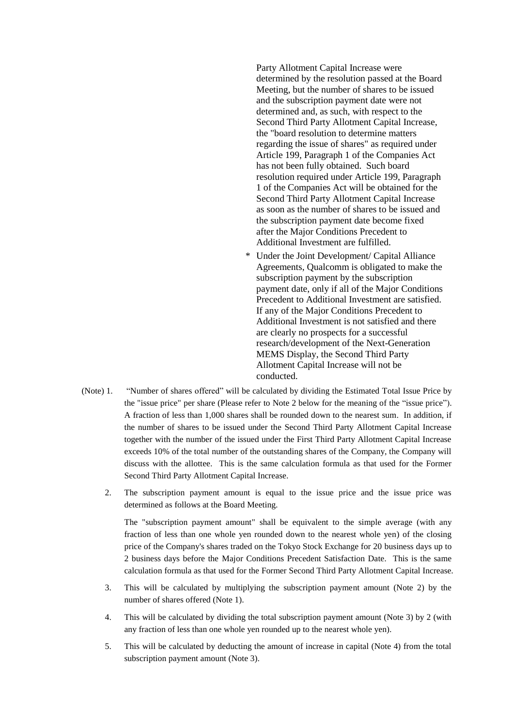Party Allotment Capital Increase were determined by the resolution passed at the Board Meeting, but the number of shares to be issued and the subscription payment date were not determined and, as such, with respect to the Second Third Party Allotment Capital Increase, the "board resolution to determine matters regarding the issue of shares" as required under Article 199, Paragraph 1 of the Companies Act has not been fully obtained. Such board resolution required under Article 199, Paragraph 1 of the Companies Act will be obtained for the Second Third Party Allotment Capital Increase as soon as the number of shares to be issued and the subscription payment date become fixed after the Major Conditions Precedent to Additional Investment are fulfilled.

- \* Under the Joint Development/ Capital Alliance Agreements, Qualcomm is obligated to make the subscription payment by the subscription payment date, only if all of the Major Conditions Precedent to Additional Investment are satisfied. If any of the Major Conditions Precedent to Additional Investment is not satisfied and there are clearly no prospects for a successful research/development of the Next-Generation MEMS Display, the Second Third Party Allotment Capital Increase will not be conducted.
- (Note) 1. "Number of shares offered" will be calculated by dividing the Estimated Total Issue Price by the "issue price" per share (Please refer to Note 2 below for the meaning of the "issue price"). A fraction of less than 1,000 shares shall be rounded down to the nearest sum. In addition, if the number of shares to be issued under the Second Third Party Allotment Capital Increase together with the number of the issued under the First Third Party Allotment Capital Increase exceeds 10% of the total number of the outstanding shares of the Company, the Company will discuss with the allottee. This is the same calculation formula as that used for the Former Second Third Party Allotment Capital Increase.
	- 2. The subscription payment amount is equal to the issue price and the issue price was determined as follows at the Board Meeting.

The "subscription payment amount" shall be equivalent to the simple average (with any fraction of less than one whole yen rounded down to the nearest whole yen) of the closing price of the Company's shares traded on the Tokyo Stock Exchange for 20 business days up to 2 business days before the Major Conditions Precedent Satisfaction Date. This is the same calculation formula as that used for the Former Second Third Party Allotment Capital Increase.

- 3. This will be calculated by multiplying the subscription payment amount (Note 2) by the number of shares offered (Note 1).
- 4. This will be calculated by dividing the total subscription payment amount (Note 3) by 2 (with any fraction of less than one whole yen rounded up to the nearest whole yen).
- 5. This will be calculated by deducting the amount of increase in capital (Note 4) from the total subscription payment amount (Note 3).